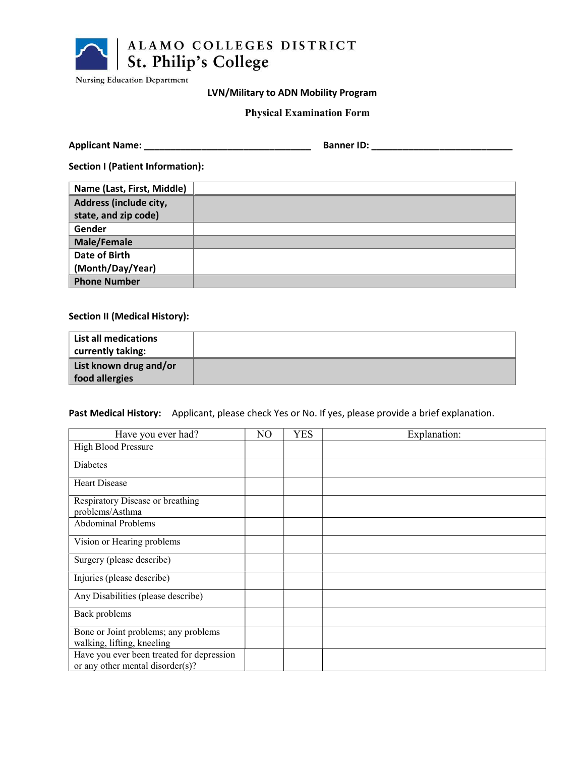

**Nursing Education Department** 

# LVN/Military to ADN Mobility Program

# Physical Examination Form

| <b>Applicant Name:</b> |  | <b>Banner ID:</b> |  |
|------------------------|--|-------------------|--|
|------------------------|--|-------------------|--|

Section I (Patient Information):

| Name (Last, First, Middle) |  |
|----------------------------|--|
| Address (include city,     |  |
| state, and zip code)       |  |
| Gender                     |  |
| Male/Female                |  |
| Date of Birth              |  |
| (Month/Day/Year)           |  |
| <b>Phone Number</b>        |  |

## Section II (Medical History):

| <b>List all medications</b><br>currently taking: |  |
|--------------------------------------------------|--|
| List known drug and/or<br>food allergies         |  |

Past Medical History: Applicant, please check Yes or No. If yes, please provide a brief explanation.

| Have you ever had?                        | NO | <b>YES</b> | Explanation: |
|-------------------------------------------|----|------------|--------------|
| <b>High Blood Pressure</b>                |    |            |              |
| Diabetes                                  |    |            |              |
| <b>Heart Disease</b>                      |    |            |              |
| Respiratory Disease or breathing          |    |            |              |
| problems/Asthma                           |    |            |              |
| <b>Abdominal Problems</b>                 |    |            |              |
| Vision or Hearing problems                |    |            |              |
| Surgery (please describe)                 |    |            |              |
| Injuries (please describe)                |    |            |              |
| Any Disabilities (please describe)        |    |            |              |
| Back problems                             |    |            |              |
| Bone or Joint problems; any problems      |    |            |              |
| walking, lifting, kneeling                |    |            |              |
| Have you ever been treated for depression |    |            |              |
| or any other mental disorder(s)?          |    |            |              |